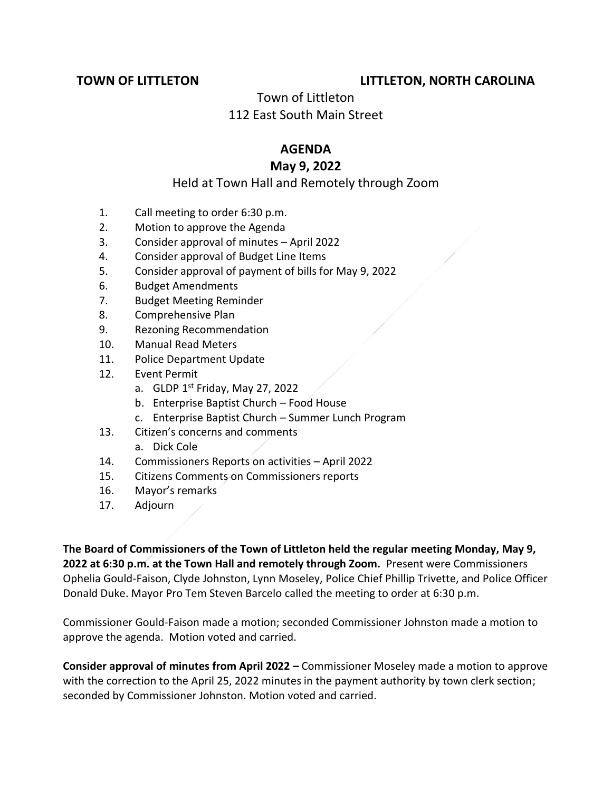## **TOWN OF LITTLETON LITTLETON, NORTH CAROLINA**

# Town of Littleton 112 East South Main Street

#### **AGENDA**

## **May 9, 2022**

### Held at Town Hall and Remotely through Zoom

- 1. Call meeting to order 6:30 p.m.
- 2. Motion to approve the Agenda
- 3. Consider approval of minutes April 2022
- 4. Consider approval of Budget Line Items
- 5. Consider approval of payment of bills for May 9, 2022
- 6. Budget Amendments
- 7. Budget Meeting Reminder
- 8. Comprehensive Plan
- 9. Rezoning Recommendation
- 10. Manual Read Meters
- 11. Police Department Update
- 12. Event Permit
	- a. GLDP  $1^{st}$  Friday, May 27, 2022
	- b. Enterprise Baptist Church Food House
	- c. Enterprise Baptist Church Summer Lunch Program
- 13. Citizen's concerns and comments
	- a. Dick Cole
- 14. Commissioners Reports on activities April 2022
- 15. Citizens Comments on Commissioners reports
- 16. Mayor's remarks
- 17. Adjourn

**The Board of Commissioners of the Town of Littleton held the regular meeting Monday, May 9, 2022 at 6:30 p.m. at the Town Hall and remotely through Zoom.** Present were Commissioners Ophelia Gould-Faison, Clyde Johnston, Lynn Moseley, Police Chief Phillip Trivette, and Police Officer Donald Duke. Mayor Pro Tem Steven Barcelo called the meeting to order at 6:30 p.m.

Commissioner Gould-Faison made a motion; seconded Commissioner Johnston made a motion to approve the agenda. Motion voted and carried.

**Consider approval of minutes from April 2022 –** Commissioner Moseley made a motion to approve with the correction to the April 25, 2022 minutes in the payment authority by town clerk section; seconded by Commissioner Johnston. Motion voted and carried.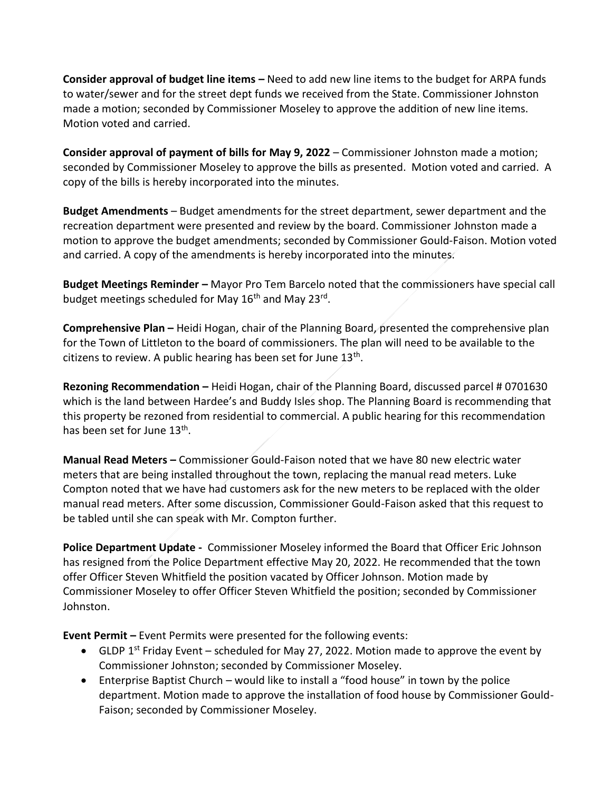**Consider approval of budget line items –** Need to add new line items to the budget for ARPA funds to water/sewer and for the street dept funds we received from the State. Commissioner Johnston made a motion; seconded by Commissioner Moseley to approve the addition of new line items. Motion voted and carried.

**Consider approval of payment of bills for May 9, 2022** – Commissioner Johnston made a motion; seconded by Commissioner Moseley to approve the bills as presented. Motion voted and carried. A copy of the bills is hereby incorporated into the minutes.

**Budget Amendments** – Budget amendments for the street department, sewer department and the recreation department were presented and review by the board. Commissioner Johnston made a motion to approve the budget amendments; seconded by Commissioner Gould-Faison. Motion voted and carried. A copy of the amendments is hereby incorporated into the minutes.

**Budget Meetings Reminder –** Mayor Pro Tem Barcelo noted that the commissioners have special call budget meetings scheduled for May 16<sup>th</sup> and May 23<sup>rd</sup>.

**Comprehensive Plan –** Heidi Hogan, chair of the Planning Board, presented the comprehensive plan for the Town of Littleton to the board of commissioners. The plan will need to be available to the citizens to review. A public hearing has been set for June  $13<sup>th</sup>$ .

**Rezoning Recommendation –** Heidi Hogan, chair of the Planning Board, discussed parcel # 0701630 which is the land between Hardee's and Buddy Isles shop. The Planning Board is recommending that this property be rezoned from residential to commercial. A public hearing for this recommendation has been set for June 13<sup>th</sup>.

**Manual Read Meters –** Commissioner Gould-Faison noted that we have 80 new electric water meters that are being installed throughout the town, replacing the manual read meters. Luke Compton noted that we have had customers ask for the new meters to be replaced with the older manual read meters. After some discussion, Commissioner Gould-Faison asked that this request to be tabled until she can speak with Mr. Compton further.

**Police Department Update -** Commissioner Moseley informed the Board that Officer Eric Johnson has resigned from the Police Department effective May 20, 2022. He recommended that the town offer Officer Steven Whitfield the position vacated by Officer Johnson. Motion made by Commissioner Moseley to offer Officer Steven Whitfield the position; seconded by Commissioner Johnston.

**Event Permit –** Event Permits were presented for the following events:

- GLDP 1<sup>st</sup> Friday Event scheduled for May 27, 2022. Motion made to approve the event by Commissioner Johnston; seconded by Commissioner Moseley.
- Enterprise Baptist Church would like to install a "food house" in town by the police department. Motion made to approve the installation of food house by Commissioner Gould-Faison; seconded by Commissioner Moseley.